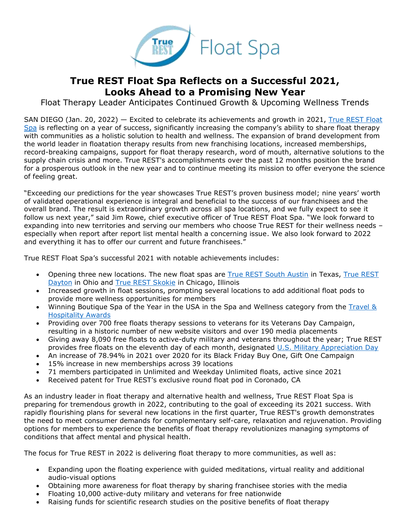

## **True REST Float Spa Reflects on a Successful 2021, Looks Ahead to a Promising New Year**

Float Therapy Leader Anticipates Continued Growth & Upcoming Wellness Trends

SAN DIEGO (Jan. 20, 2022) — Excited to celebrate its achievements and growth in 2021, [True REST Float](https://www.truerest.com/about-us/?utm_source=PR&utm_medium=True+REST+PR&utm_campaign=True+REST+2021+Success+%26+2022+Trends&utm_content=True+REST+Float+Spa+Reflects+on+a+Successful+2021%2C+Looks+Ahead+to+a+Promising+New+Year)  [Spa](https://www.truerest.com/about-us/?utm_source=PR&utm_medium=True+REST+PR&utm_campaign=True+REST+2021+Success+%26+2022+Trends&utm_content=True+REST+Float+Spa+Reflects+on+a+Successful+2021%2C+Looks+Ahead+to+a+Promising+New+Year) is reflecting on a year of success, significantly increasing the company's ability to share float therapy with communities as a holistic solution to health and wellness. The expansion of brand development from the world leader in floatation therapy results from new franchising locations, increased memberships, record-breaking campaigns, support for float therapy research, word of mouth, alternative solutions to the supply chain crisis and more. True REST's accomplishments over the past 12 months position the brand for a prosperous outlook in the new year and to continue meeting its mission to offer everyone the science of feeling great.

"Exceeding our predictions for the year showcases True REST's proven business model; nine years' worth of validated operational experience is integral and beneficial to the success of our franchisees and the overall brand. The result is extraordinary growth across all spa locations, and we fully expect to see it follow us next year," said Jim Rowe, chief executive officer of True REST Float Spa. "We look forward to expanding into new territories and serving our members who choose True REST for their wellness needs – especially when report after report list mental health a concerning issue. We also look forward to 2022 and everything it has to offer our current and future franchisees."

True REST Float Spa's successful 2021 with notable achievements includes:

- Opening three new locations. The new float spas are [True REST South Austin](https://truerest.com/locations/south-austin/?utm_source=PR&utm_medium=True+REST+PR&utm_campaign=True+REST+2021+Success+%26+2022+Trends&utm_content=True+REST+Float+Spa+Reflects+on+a+Successful+2021%2C+Looks+Ahead+to+a+Promising+New+Year) in Texas, [True REST](https://truerest.com/locations/dayton/?utm_source=PR&utm_medium=True+REST+PR&utm_campaign=True+REST+2021+Success+%26+2022+Trends&utm_content=True+REST+Float+Spa+Reflects+on+a+Successful+2021%2C+Looks+Ahead+to+a+Promising+New+Year)  [Dayton](https://truerest.com/locations/dayton/?utm_source=PR&utm_medium=True+REST+PR&utm_campaign=True+REST+2021+Success+%26+2022+Trends&utm_content=True+REST+Float+Spa+Reflects+on+a+Successful+2021%2C+Looks+Ahead+to+a+Promising+New+Year) in Ohio and [True REST Skokie](https://truerest.com/locations/skokie/?utm_source=PR&utm_medium=True+REST+PR&utm_campaign=True+REST+2021+Success+%26+2022+Trends&utm_content=True+REST+Float+Spa+Reflects+on+a+Successful+2021%2C+Looks+Ahead+to+a+Promising+New+Year) in Chicago, Illinois
- Increased growth in float sessions, prompting several locations to add additional float pods to provide more wellness opportunities for members
- Winning Boutique Spa of the Year in the USA in the Spa and Wellness category from the [Travel &](https://thawards.com/)  [Hospitality Awards](https://thawards.com/)
- Providing over 700 free floats therapy sessions to veterans for its Veterans Day Campaign, resulting in a historic number of new website visitors and over 190 media placements
- Giving away 8,090 free floats to active-duty military and veterans throughout the year; True REST provides free floats on the eleventh day of each month, designated [U.S. Military Appreciation Day](https://truerest.com/free-floats-for-military-veterans/?utm_source=PR&utm_medium=True+REST+PR&utm_campaign=True+REST+2021+Success+%26+2022+Trends&utm_content=True+REST+Float+Spa+Reflects+on+a+Successful+2021%2C+Looks+Ahead+to+a+Promising+New+Year)
- An increase of 78.94% in 2021 over 2020 for its Black Friday Buy One, Gift One Campaign
- 15% increase in new memberships across 39 locations
- 71 members participated in Unlimited and Weekday Unlimited floats, active since 2021
- Received patent for True REST's exclusive round float pod in Coronado, CA

As an industry leader in float therapy and alternative health and wellness, True REST Float Spa is preparing for tremendous growth in 2022, contributing to the goal of exceeding its 2021 success. With rapidly flourishing plans for several new locations in the first quarter, True REST's growth demonstrates the need to meet consumer demands for complementary self-care, relaxation and rejuvenation. Providing options for members to experience the benefits of float therapy revolutionizes managing symptoms of conditions that affect mental and physical health.

The focus for True REST in 2022 is delivering float therapy to more communities, as well as:

- Expanding upon the floating experience with guided meditations, virtual reality and additional audio-visual options
- Obtaining more awareness for float therapy by sharing franchisee stories with the media
- Floating 10,000 active-duty military and veterans for free nationwide
- Raising funds for scientific research studies on the positive benefits of float therapy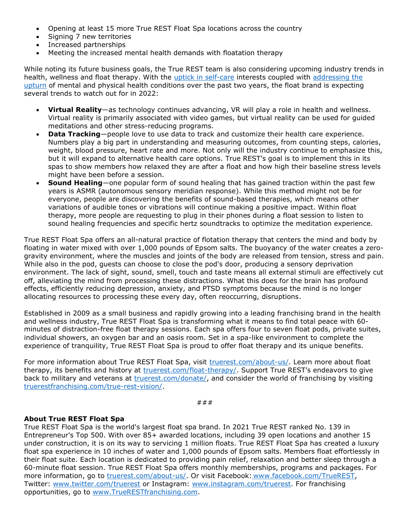- Opening at least 15 more True REST Float Spa locations across the country
- Signing 7 new territories
- Increased partnerships
- Meeting the increased mental health demands with floatation therapy

While noting its future business goals, the True REST team is also considering upcoming industry trends in health, wellness and float therapy. With the [uptick in self-care](https://www.forbes.com/sites/jesscording/2021/08/22/new-mindbody-data-reflects-how-the-pandemic-has-renewed-interest-in-self-care/?sh=573068356a57) interests coupled with [addressing the](https://www.apa.org/news/press/releases/stress/2021/one-year-pandemic-stress)  [upturn](https://www.apa.org/news/press/releases/stress/2021/one-year-pandemic-stress) of mental and physical health conditions over the past two years, the float brand is expecting several trends to watch out for in 2022:

- **Virtual Reality**—as technology continues advancing, VR will play a role in health and wellness. Virtual reality is primarily associated with video games, but virtual reality can be used for guided meditations and other stress-reducing programs.
- **Data Tracking**—people love to use data to track and customize their health care experience. Numbers play a big part in understanding and measuring outcomes, from counting steps, calories, weight, blood pressure, heart rate and more. Not only will the industry continue to emphasize this, but it will expand to alternative health care options. True REST's goal is to implement this in its spas to show members how relaxed they are after a float and how high their baseline stress levels might have been before a session.
- **Sound Healing**—one popular form of sound healing that has gained traction within the past few years is ASMR (autonomous sensory meridian response). While this method might not be for everyone, people are discovering the benefits of sound-based therapies, which means other variations of audible tones or vibrations will continue making a positive impact. Within float therapy, more people are requesting to plug in their phones during a float session to listen to sound healing frequencies and specific hertz soundtracks to optimize the meditation experience.

True REST Float Spa offers an all-natural practice of flotation therapy that centers the mind and body by floating in water mixed with over 1,000 pounds of Epsom salts. The buoyancy of the water creates a zerogravity environment, where the muscles and joints of the body are released from tension, stress and pain. While also in the pod, guests can choose to close the pod's door, producing a sensory deprivation environment. The lack of sight, sound, smell, touch and taste means all external stimuli are effectively cut off, alleviating the mind from processing these distractions. What this does for the brain has profound effects, efficiently reducing depression, anxiety, and PTSD symptoms because the mind is no longer allocating resources to processing these every day, often reoccurring, disruptions.

Established in 2009 as a small business and rapidly growing into a leading franchising brand in the health and wellness industry, True REST Float Spa is transforming what it means to find total peace with 60 minutes of distraction-free float therapy sessions. Each spa offers four to seven float pods, private suites, individual showers, an oxygen bar and an oasis room. Set in a spa-like environment to complete the experience of tranquility, True REST Float Spa is proud to offer float therapy and its unique benefits.

For more information about True REST Float Spa, visit [truerest.com/about-us/.](https://www.truerest.com/about-us/?utm_source=PR&utm_medium=True+REST+PR&utm_campaign=True+REST+2021+Success+%26+2022+Trends&utm_content=True+REST+Float+Spa+Reflects+on+a+Successful+2021%2C+Looks+Ahead+to+a+Promising+New+Year) Learn more about float therapy, its benefits and history at [truerest.com/float-therapy/.](https://www.truerest.com/float-therapy/?utm_source=PR&utm_medium=True+REST+PR&utm_campaign=True+REST+2021+Success+%26+2022+Trends&utm_content=True+REST+Float+Spa+Reflects+on+a+Successful+2021%2C+Looks+Ahead+to+a+Promising+New+Year) Support True REST's endeavors to give back to military and veterans at [truerest.com/donate/,](https://www.truerest.com/donate/?utm_source=PR&utm_medium=True+REST+PR&utm_campaign=True+REST+2021+Success+%26+2022+Trends&utm_content=True+REST+Float+Spa+Reflects+on+a+Successful+2021%2C+Looks+Ahead+to+a+Promising+New+Year) and consider the world of franchising by visiting [truerestfranchising.com/true-rest-vision/.](https://www.truerestfranchising.com/true-rest-vision/?utm_source=PR&utm_medium=True+REST+PR&utm_campaign=True+REST+2021+Success+%26+2022+Trends&utm_content=True+REST+Float+Spa+Reflects+on+a+Successful+2021%2C+Looks+Ahead+to+a+Promising+New+Year)

###

## **About True REST Float Spa**

True REST Float Spa is the world's largest float spa brand. In 2021 True REST ranked No. 139 in Entrepreneur's Top 500. With over 85+ awarded locations, including 39 open locations and another 15 under construction, it is on its way to servicing 1 million floats. True REST Float Spa has created a luxury float spa experience in 10 inches of water and 1,000 pounds of Epsom salts. Members float effortlessly in their float suite. Each location is dedicated to providing pain relief, relaxation and better sleep through a 60-minute float session. True REST Float Spa offers monthly memberships, programs and packages. For more information, go to [truerest.com/about-us/.](https://www.truerest.com/about-us/?utm_source=PR&utm_medium=True+REST+PR&utm_campaign=True+REST+2021+Success+%26+2022+Trends&utm_content=True+REST+Float+Spa+Reflects+on+a+Successful+2021%2C+Looks+Ahead+to+a+Promising+New+Year) Or visit Facebook: [www.facebook.com/TrueREST,](https://www.facebook.com/TrueREST) Twitter: [www.twitter.com/truerest](http://www.twitter.com/truerest) or Instagram: [www.instagram.com/truerest.](http://www.instagram.com/truerest) For franchising opportunities, go to [www.TrueRESTfranchising.com.](http://www.truerestfranchising.com/)